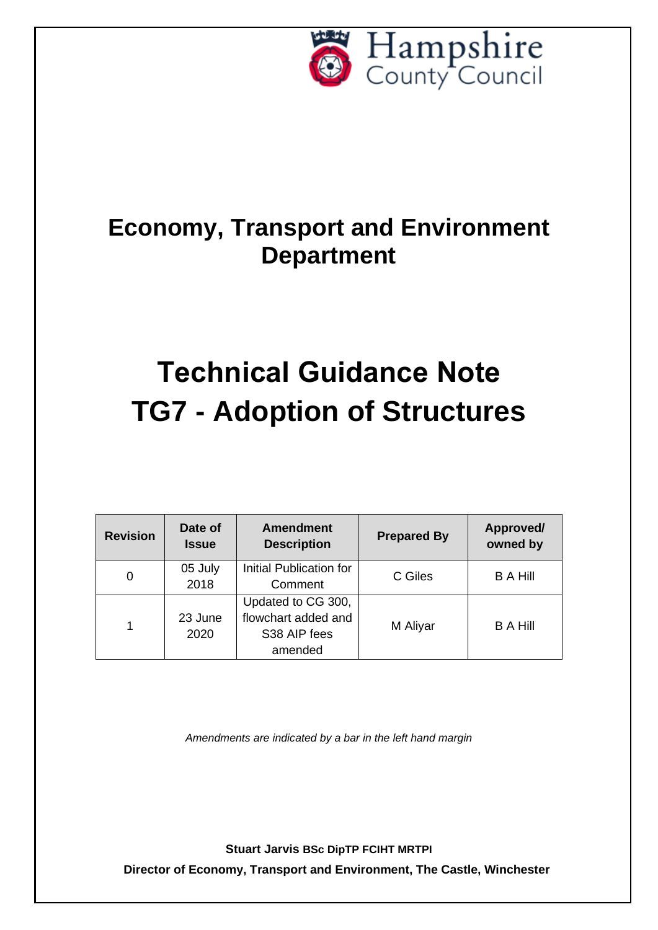

## **Economy, Transport and Environment Department**

# **Technical Guidance Note TG7 - Adoption of Structures**

| <b>Revision</b> | Date of<br><b>Issue</b> | <b>Amendment</b><br><b>Description</b>                               | <b>Prepared By</b> | Approved/<br>owned by |
|-----------------|-------------------------|----------------------------------------------------------------------|--------------------|-----------------------|
| 0               | 05 July<br>2018         | Initial Publication for<br>Comment                                   | C Giles            | <b>B A Hill</b>       |
| 1               | 23 June<br>2020         | Updated to CG 300,<br>flowchart added and<br>S38 AIP fees<br>amended | M Aliyar           | <b>B A Hill</b>       |

*Amendments are indicated by a bar in the left hand margin*

**Stuart Jarvis BSc DipTP FCIHT MRTPI**

**Director of Economy, Transport and Environment, The Castle, Winchester**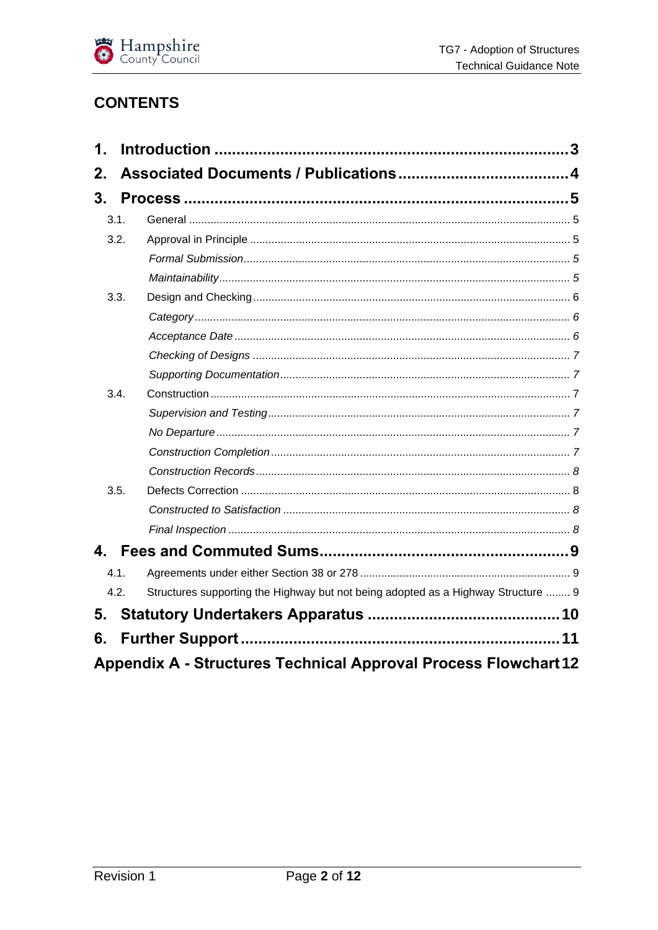

### **CONTENTS**

| 1.           |      |                                                                                   |  |
|--------------|------|-----------------------------------------------------------------------------------|--|
| 2.           |      |                                                                                   |  |
| 3.           |      |                                                                                   |  |
|              | 3.1. |                                                                                   |  |
|              | 3.2. |                                                                                   |  |
|              |      |                                                                                   |  |
|              |      |                                                                                   |  |
|              | 3.3. |                                                                                   |  |
|              |      |                                                                                   |  |
|              |      |                                                                                   |  |
|              |      |                                                                                   |  |
|              |      |                                                                                   |  |
|              | 3.4. |                                                                                   |  |
|              |      |                                                                                   |  |
|              |      |                                                                                   |  |
|              |      |                                                                                   |  |
|              |      |                                                                                   |  |
|              | 3.5. |                                                                                   |  |
|              |      |                                                                                   |  |
|              |      |                                                                                   |  |
| $\mathbf{4}$ |      |                                                                                   |  |
|              | 4.1. |                                                                                   |  |
|              | 4.2. | Structures supporting the Highway but not being adopted as a Highway Structure  9 |  |
| 5.           |      |                                                                                   |  |
| 6.           |      |                                                                                   |  |
|              |      |                                                                                   |  |
|              |      | <b>Appendix A - Structures Technical Approval Process Flowchart 12</b>            |  |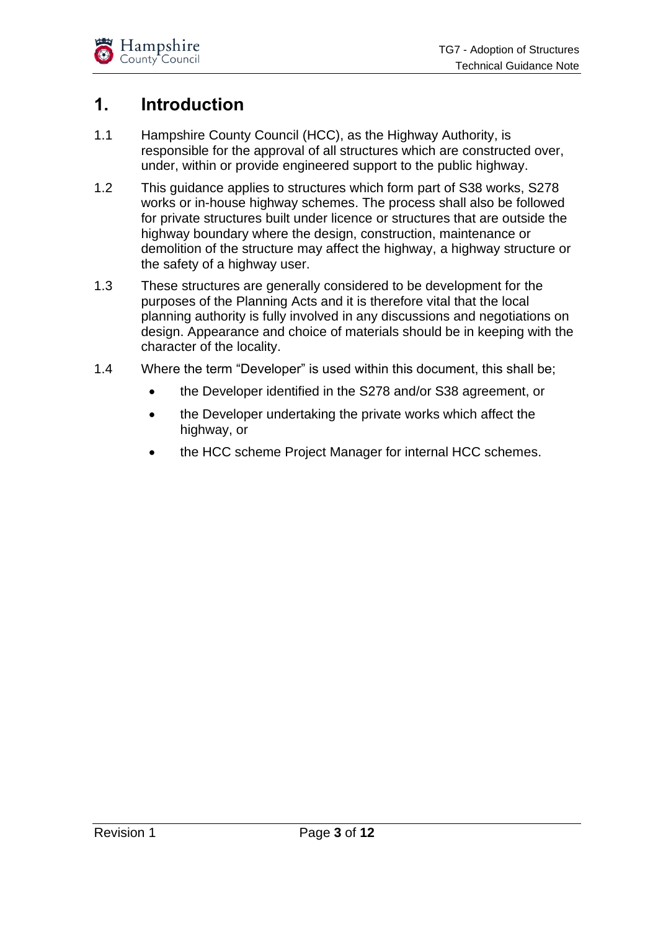## <span id="page-2-0"></span>**1. Introduction**

- 1.1 Hampshire County Council (HCC), as the Highway Authority, is responsible for the approval of all structures which are constructed over, under, within or provide engineered support to the public highway.
- 1.2 This guidance applies to structures which form part of S38 works, S278 works or in-house highway schemes. The process shall also be followed for private structures built under licence or structures that are outside the highway boundary where the design, construction, maintenance or demolition of the structure may affect the highway, a highway structure or the safety of a highway user.
- 1.3 These structures are generally considered to be development for the purposes of the Planning Acts and it is therefore vital that the local planning authority is fully involved in any discussions and negotiations on design. Appearance and choice of materials should be in keeping with the character of the locality.
- 1.4 Where the term "Developer" is used within this document, this shall be;
	- the Developer identified in the S278 and/or S38 agreement, or
	- the Developer undertaking the private works which affect the highway, or
	- the HCC scheme Project Manager for internal HCC schemes.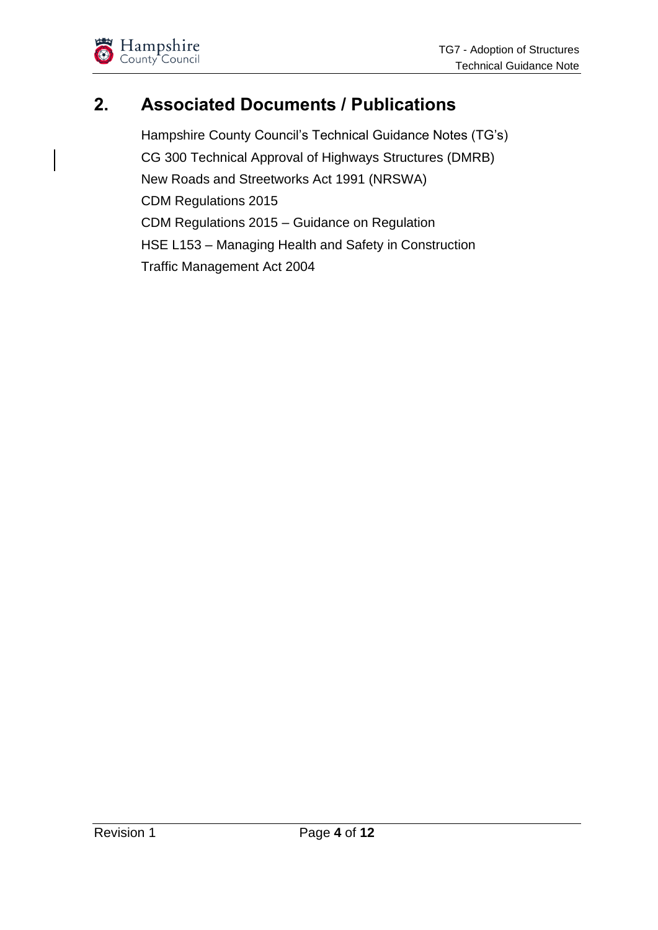

## <span id="page-3-0"></span>**2. Associated Documents / Publications**

Hampshire County Council's Technical Guidance Notes (TG's) CG 300 Technical Approval of Highways Structures (DMRB) New Roads and Streetworks Act 1991 (NRSWA) CDM Regulations 2015 CDM Regulations 2015 – Guidance on Regulation HSE L153 – Managing Health and Safety in Construction Traffic Management Act 2004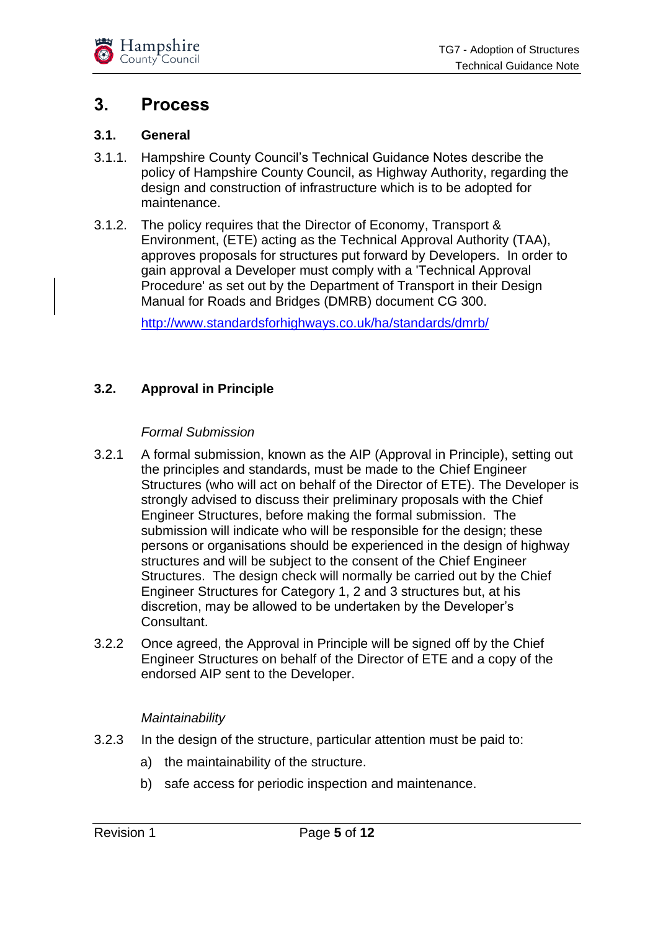

## <span id="page-4-0"></span>**3. Process**

#### <span id="page-4-1"></span>**3.1. General**

- 3.1.1. Hampshire County Council's Technical Guidance Notes describe the policy of Hampshire County Council, as Highway Authority, regarding the design and construction of infrastructure which is to be adopted for maintenance.
- 3.1.2. The policy requires that the Director of Economy, Transport & Environment, (ETE) acting as the Technical Approval Authority (TAA), approves proposals for structures put forward by Developers. In order to gain approval a Developer must comply with a 'Technical Approval Procedure' as set out by the Department of Transport in their Design Manual for Roads and Bridges (DMRB) document CG 300.

<http://www.standardsforhighways.co.uk/ha/standards/dmrb/>

#### <span id="page-4-2"></span>**3.2. Approval in Principle**

#### <span id="page-4-3"></span>*Formal Submission*

- 3.2.1 A formal submission, known as the AIP (Approval in Principle), setting out the principles and standards, must be made to the Chief Engineer Structures (who will act on behalf of the Director of ETE). The Developer is strongly advised to discuss their preliminary proposals with the Chief Engineer Structures, before making the formal submission. The submission will indicate who will be responsible for the design; these persons or organisations should be experienced in the design of highway structures and will be subject to the consent of the Chief Engineer Structures. The design check will normally be carried out by the Chief Engineer Structures for Category 1, 2 and 3 structures but, at his discretion, may be allowed to be undertaken by the Developer's Consultant.
- 3.2.2 Once agreed, the Approval in Principle will be signed off by the Chief Engineer Structures on behalf of the Director of ETE and a copy of the endorsed AIP sent to the Developer.

#### *Maintainability*

- <span id="page-4-4"></span>3.2.3 In the design of the structure, particular attention must be paid to:
	- a) the maintainability of the structure.
	- b) safe access for periodic inspection and maintenance.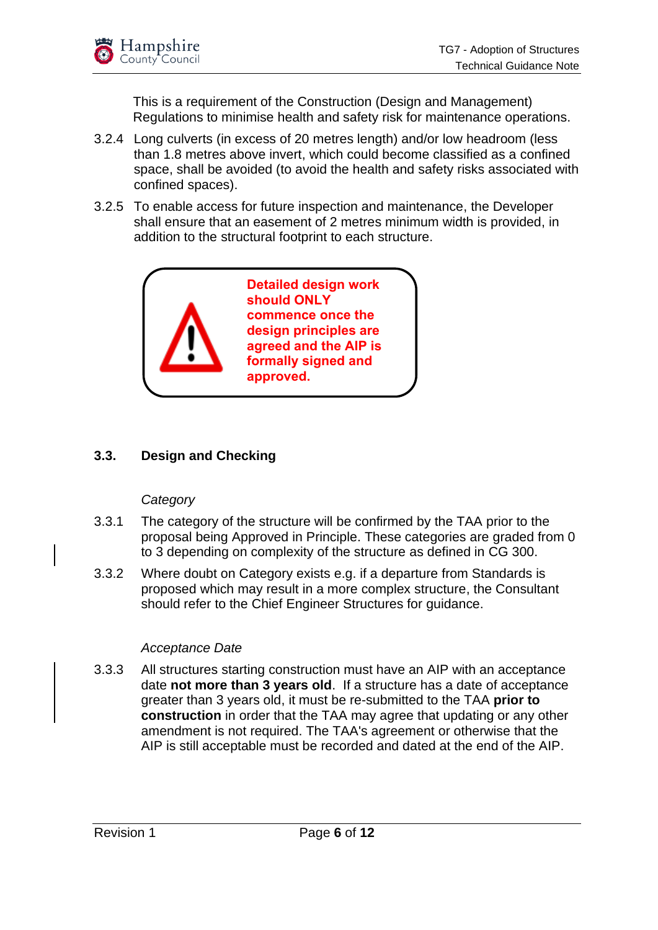

This is a requirement of the Construction (Design and Management) Regulations to minimise health and safety risk for maintenance operations.

- 3.2.4 Long culverts (in excess of 20 metres length) and/or low headroom (less than 1.8 metres above invert, which could become classified as a confined space, shall be avoided (to avoid the health and safety risks associated with confined spaces).
- 3.2.5 To enable access for future inspection and maintenance, the Developer shall ensure that an easement of 2 metres minimum width is provided, in addition to the structural footprint to each structure.



#### <span id="page-5-0"></span>**3.3. Design and Checking**

#### *Category*

- <span id="page-5-1"></span>3.3.1 The category of the structure will be confirmed by the TAA prior to the proposal being Approved in Principle. These categories are graded from 0 to 3 depending on complexity of the structure as defined in CG 300.
- 3.3.2 Where doubt on Category exists e.g. if a departure from Standards is proposed which may result in a more complex structure, the Consultant should refer to the Chief Engineer Structures for guidance.

#### *Acceptance Date*

<span id="page-5-2"></span>3.3.3 All structures starting construction must have an AIP with an acceptance date **not more than 3 years old**. If a structure has a date of acceptance greater than 3 years old, it must be re-submitted to the TAA **prior to construction** in order that the TAA may agree that updating or any other amendment is not required. The TAA's agreement or otherwise that the AIP is still acceptable must be recorded and dated at the end of the AIP.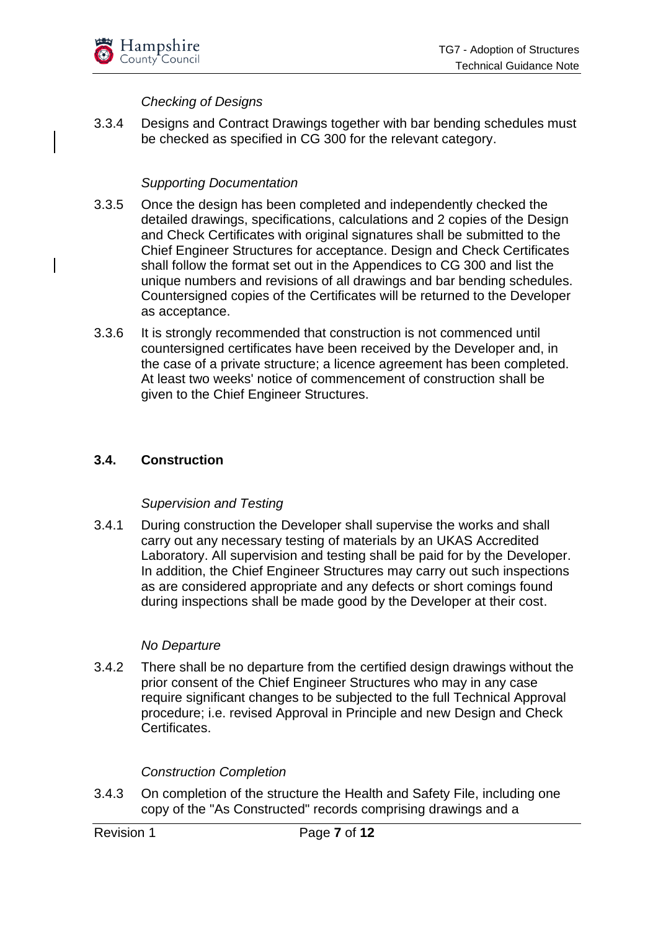

#### *Checking of Designs*

<span id="page-6-0"></span>3.3.4 Designs and Contract Drawings together with bar bending schedules must be checked as specified in CG 300 for the relevant category.

#### *Supporting Documentation*

- <span id="page-6-1"></span>3.3.5 Once the design has been completed and independently checked the detailed drawings, specifications, calculations and 2 copies of the Design and Check Certificates with original signatures shall be submitted to the Chief Engineer Structures for acceptance. Design and Check Certificates shall follow the format set out in the Appendices to CG 300 and list the unique numbers and revisions of all drawings and bar bending schedules. Countersigned copies of the Certificates will be returned to the Developer as acceptance.
- 3.3.6 It is strongly recommended that construction is not commenced until countersigned certificates have been received by the Developer and, in the case of a private structure; a licence agreement has been completed. At least two weeks' notice of commencement of construction shall be given to the Chief Engineer Structures.

#### <span id="page-6-2"></span>**3.4. Construction**

#### <span id="page-6-3"></span>*Supervision and Testing*

3.4.1 During construction the Developer shall supervise the works and shall carry out any necessary testing of materials by an UKAS Accredited Laboratory. All supervision and testing shall be paid for by the Developer. In addition, the Chief Engineer Structures may carry out such inspections as are considered appropriate and any defects or short comings found during inspections shall be made good by the Developer at their cost.

#### *No Departure*

<span id="page-6-4"></span>3.4.2 There shall be no departure from the certified design drawings without the prior consent of the Chief Engineer Structures who may in any case require significant changes to be subjected to the full Technical Approval procedure; i.e. revised Approval in Principle and new Design and Check Certificates.

#### *Construction Completion*

<span id="page-6-5"></span>3.4.3 On completion of the structure the Health and Safety File, including one copy of the "As Constructed" records comprising drawings and a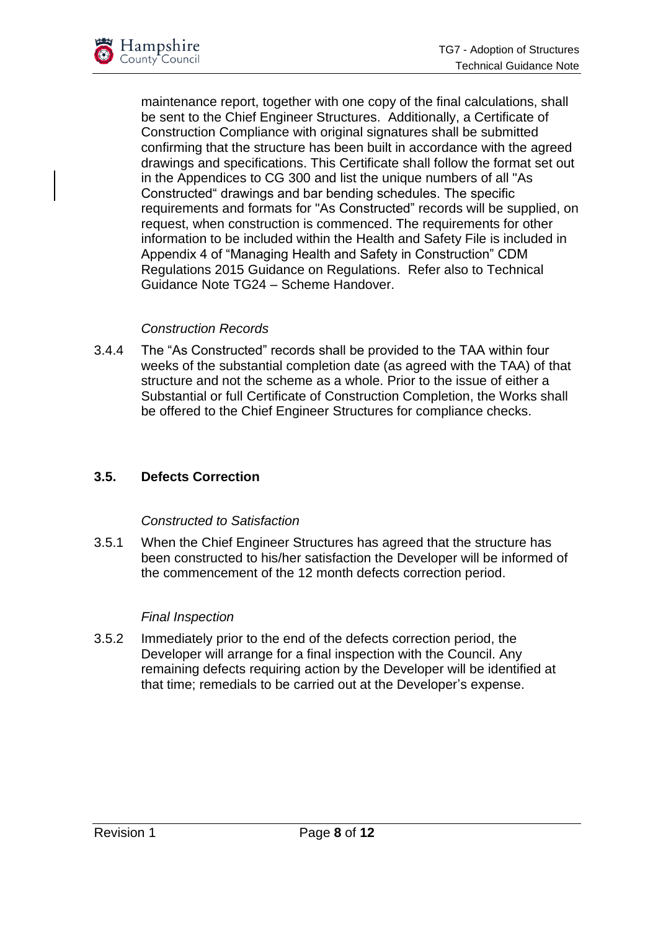

maintenance report, together with one copy of the final calculations, shall be sent to the Chief Engineer Structures. Additionally, a Certificate of Construction Compliance with original signatures shall be submitted confirming that the structure has been built in accordance with the agreed drawings and specifications. This Certificate shall follow the format set out in the Appendices to CG 300 and list the unique numbers of all "As Constructed" drawings and bar bending schedules. The specific requirements and formats for "As Constructed" records will be supplied, on request, when construction is commenced. The requirements for other information to be included within the Health and Safety File is included in Appendix 4 of "Managing Health and Safety in Construction" CDM Regulations 2015 Guidance on Regulations. Refer also to Technical Guidance Note TG24 – Scheme Handover.

#### *Construction Records*

<span id="page-7-0"></span>3.4.4 The "As Constructed" records shall be provided to the TAA within four weeks of the substantial completion date (as agreed with the TAA) of that structure and not the scheme as a whole. Prior to the issue of either a Substantial or full Certificate of Construction Completion, the Works shall be offered to the Chief Engineer Structures for compliance checks.

#### <span id="page-7-1"></span>**3.5. Defects Correction**

#### *Constructed to Satisfaction*

<span id="page-7-2"></span>3.5.1 When the Chief Engineer Structures has agreed that the structure has been constructed to his/her satisfaction the Developer will be informed of the commencement of the 12 month defects correction period.

#### *Final Inspection*

<span id="page-7-3"></span>3.5.2 Immediately prior to the end of the defects correction period, the Developer will arrange for a final inspection with the Council. Any remaining defects requiring action by the Developer will be identified at that time; remedials to be carried out at the Developer's expense.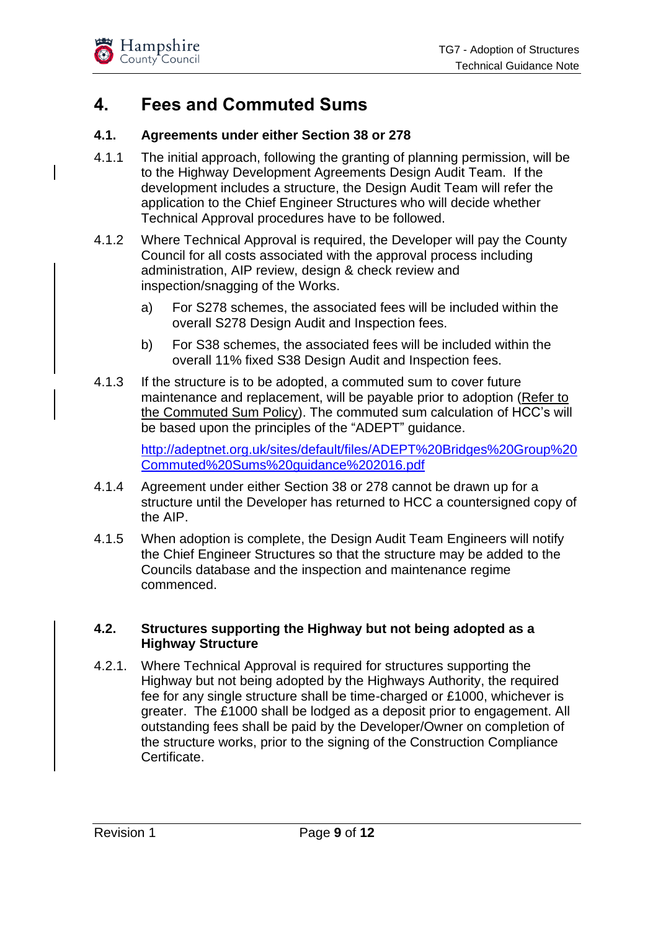

## <span id="page-8-0"></span>**4. Fees and Commuted Sums**

#### <span id="page-8-1"></span>**4.1. Agreements under either Section 38 or 278**

- 4.1.1 The initial approach, following the granting of planning permission, will be to the Highway Development Agreements Design Audit Team. If the development includes a structure, the Design Audit Team will refer the application to the Chief Engineer Structures who will decide whether Technical Approval procedures have to be followed.
- 4.1.2 Where Technical Approval is required, the Developer will pay the County Council for all costs associated with the approval process including administration, AIP review, design & check review and inspection/snagging of the Works.
	- a) For S278 schemes, the associated fees will be included within the overall S278 Design Audit and Inspection fees.
	- b) For S38 schemes, the associated fees will be included within the overall 11% fixed S38 Design Audit and Inspection fees.
- 4.1.3 If the structure is to be adopted, a commuted sum to cover future maintenance and replacement, will be payable prior to adoption [\(Refer to](https://www.hants.gov.uk/transport/developers/commuted-sums)  [the Commuted Sum Policy\)](https://www.hants.gov.uk/transport/developers/commuted-sums). The commuted sum calculation of HCC's will be based upon the principles of the "ADEPT" guidance.

[http://adeptnet.org.uk/sites/default/files/ADEPT%20Bridges%20Group%20](http://adeptnet.org.uk/sites/default/files/ADEPT%20Bridges%20Group%20Commuted%20Sums%20guidance%202016.pdf) [Commuted%20Sums%20guidance%202016.pdf](http://adeptnet.org.uk/sites/default/files/ADEPT%20Bridges%20Group%20Commuted%20Sums%20guidance%202016.pdf)

- 4.1.4 Agreement under either Section 38 or 278 cannot be drawn up for a structure until the Developer has returned to HCC a countersigned copy of the AIP.
- 4.1.5 When adoption is complete, the Design Audit Team Engineers will notify the Chief Engineer Structures so that the structure may be added to the Councils database and the inspection and maintenance regime commenced.

#### <span id="page-8-2"></span>**4.2. Structures supporting the Highway but not being adopted as a Highway Structure**

4.2.1. Where Technical Approval is required for structures supporting the Highway but not being adopted by the Highways Authority, the required fee for any single structure shall be time-charged or £1000, whichever is greater. The £1000 shall be lodged as a deposit prior to engagement. All outstanding fees shall be paid by the Developer/Owner on completion of the structure works, prior to the signing of the Construction Compliance Certificate.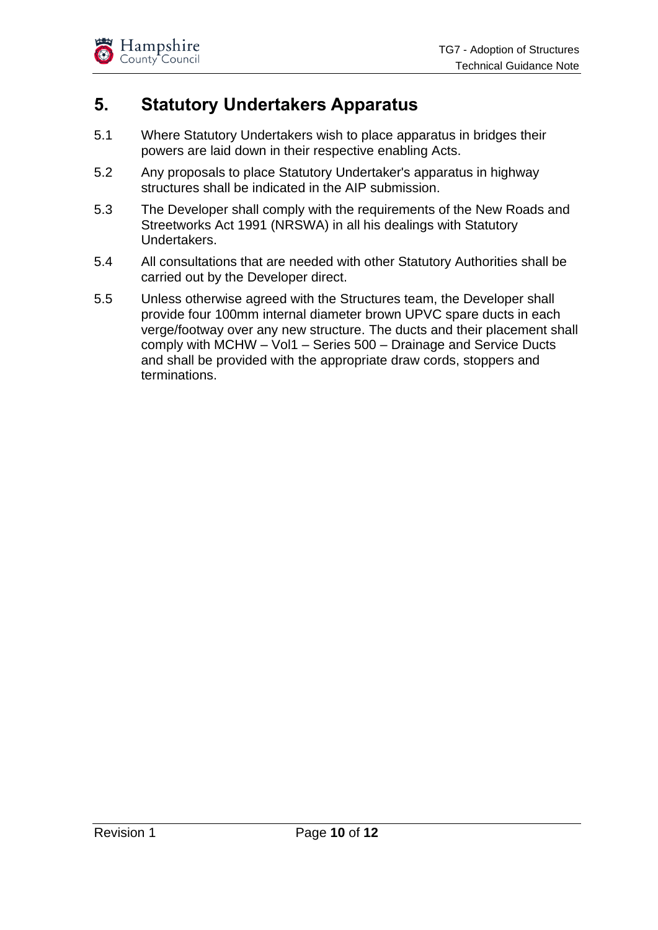

## <span id="page-9-0"></span>**5. Statutory Undertakers Apparatus**

- 5.1 Where Statutory Undertakers wish to place apparatus in bridges their powers are laid down in their respective enabling Acts.
- 5.2 Any proposals to place Statutory Undertaker's apparatus in highway structures shall be indicated in the AIP submission.
- 5.3 The Developer shall comply with the requirements of the New Roads and Streetworks Act 1991 (NRSWA) in all his dealings with Statutory Undertakers.
- 5.4 All consultations that are needed with other Statutory Authorities shall be carried out by the Developer direct.
- 5.5 Unless otherwise agreed with the Structures team, the Developer shall provide four 100mm internal diameter brown UPVC spare ducts in each verge/footway over any new structure. The ducts and their placement shall comply with MCHW – Vol1 – Series 500 – Drainage and Service Ducts and shall be provided with the appropriate draw cords, stoppers and terminations.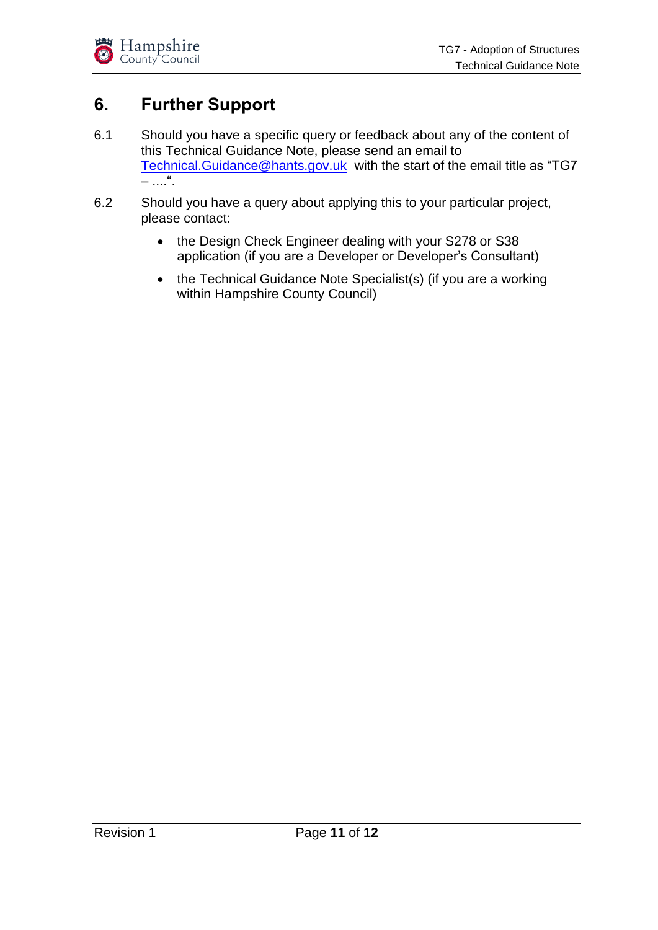## <span id="page-10-0"></span>**6. Further Support**

- 6.1 Should you have a specific query or feedback about any of the content of this Technical Guidance Note, please send an email to [Technical.Guidance@hants.gov.uk](mailto:Technical.Guidance@hants.gov.uk) with the start of the email title as "TG7  $-$  ....".
- 6.2 Should you have a query about applying this to your particular project, please contact:
	- the Design Check Engineer dealing with your S278 or S38 application (if you are a Developer or Developer's Consultant)
	- the Technical Guidance Note Specialist(s) (if you are a working within Hampshire County Council)